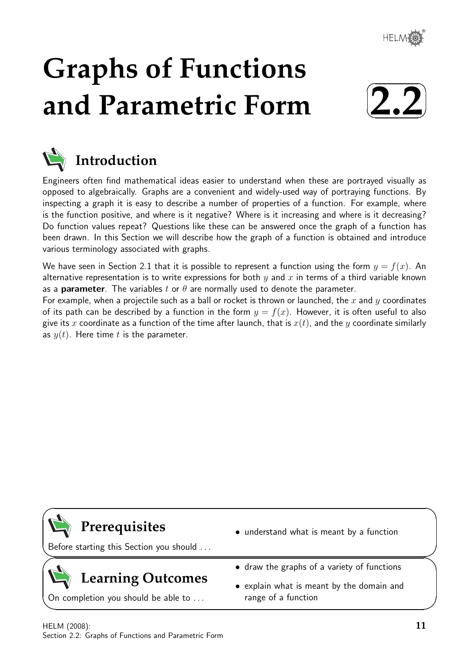

# **Graphs of Functions and Parametric Form**





## **Introduction**

Engineers often find mathematical ideas easier to understand when these are portrayed visually as opposed to algebraically. Graphs are a convenient and widely-used way of portraying functions. By inspecting a graph it is easy to describe a number of properties of a function. For example, where is the function positive, and where is it negative? Where is it increasing and where is it decreasing? Do function values repeat? Questions like these can be answered once the graph of a function has been drawn. In this Section we will describe how the graph of a function is obtained and introduce various terminology associated with graphs.

We have seen in Section 2.1 that it is possible to represent a function using the form  $y = f(x)$ . An alternative representation is to write expressions for both  $y$  and  $x$  in terms of a third variable known as a **parameter**. The variables t or  $\theta$  are normally used to denote the parameter.

For example, when a projectile such as a ball or rocket is thrown or launched, the x and y coordinates of its path can be described by a function in the form  $y = f(x)$ . However, it is often useful to also give its x coordinate as a function of the time after launch, that is  $x(t)$ , and the y coordinate similarly as  $y(t)$ . Here time t is the parameter.

# **Prerequisites**

 $\overline{\phantom{0}}$ 

 $\searrow$ 

 $\geq$ 

 $\overline{\phantom{0}}$ 

Before starting this Section you should . . .

# **Learning Outcomes**

On completion you should be able to . . .

- understand what is meant by a function
- draw the graphs of a variety of functions
- explain what is meant by the domain and range of a function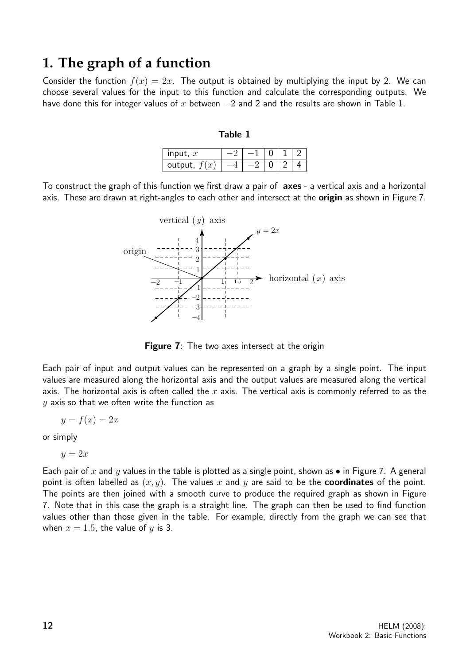### **1. The graph of a function**

Consider the function  $f(x) = 2x$ . The output is obtained by multiplying the input by 2. We can choose several values for the input to this function and calculate the corresponding outputs. We have done this for integer values of x between  $-2$  and 2 and the results are shown in Table 1.

#### Table 1

| input, $x$     |  |  |  |
|----------------|--|--|--|
| output, $f(x)$ |  |  |  |

To construct the graph of this function we first draw a pair of **axes** - a vertical axis and a horizontal axis. These are drawn at right-angles to each other and intersect at the **origin** as shown in Figure 7.



Figure 7: The two axes intersect at the origin

Each pair of input and output values can be represented on a graph by a single point. The input values are measured along the horizontal axis and the output values are measured along the vertical axis. The horizontal axis is often called the  $x$  axis. The vertical axis is commonly referred to as the  $y$  axis so that we often write the function as

$$
y = f(x) = 2x
$$

or simply

$$
y=2x
$$

Each pair of x and y values in the table is plotted as a single point, shown as  $\bullet$  in Figure 7. A general point is often labelled as  $(x, y)$ . The values x and y are said to be the **coordinates** of the point. The points are then joined with a smooth curve to produce the required graph as shown in Figure 7. Note that in this case the graph is a straight line. The graph can then be used to find function values other than those given in the table. For example, directly from the graph we can see that when  $x = 1.5$ , the value of y is 3.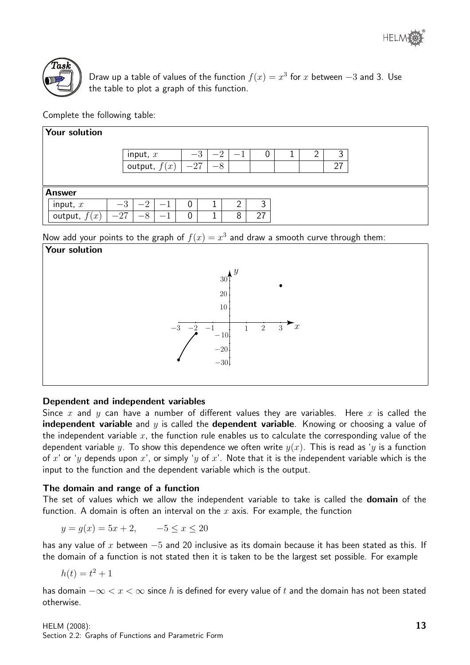



Draw up a table of values of the function  $f(x) = x^3$  for x between  $-3$  and 3. Use the table to plot a graph of this function.

Complete the following table:

| Your solution  |       |                    |                |       |          |   |    |  |    |  |  |
|----------------|-------|--------------------|----------------|-------|----------|---|----|--|----|--|--|
|                |       | input, $x$         |                | $-3$  | $\Omega$ |   | U  |  | 3  |  |  |
|                |       |                    | output, $f(x)$ | $-27$ | $-8$     |   |    |  | 27 |  |  |
|                |       |                    |                |       |          |   |    |  |    |  |  |
| <b>Answer</b>  |       |                    |                |       |          |   |    |  |    |  |  |
| input, $x$     | $-3$  | $\Omega$           |                | 0     |          | 2 | 2  |  |    |  |  |
| output,<br>(x) | $-27$ | $\circ$<br>$-\sim$ |                | 0     |          | 8 | 27 |  |    |  |  |

Now add your points to the graph of  $f(x) = x^3$  and draw a smooth curve through them:



#### Dependent and independent variables

Since x and y can have a number of different values they are variables. Here x is called the **independent variable** and y is called the **dependent variable**. Knowing or choosing a value of the independent variable  $x$ , the function rule enables us to calculate the corresponding value of the dependent variable y. To show this dependence we often write  $y(x)$ . This is read as 'y is a function of x' or 'y depends upon x', or simply 'y of x'. Note that it is the independent variable which is the input to the function and the dependent variable which is the output.

#### The domain and range of a function

The set of values which we allow the independent variable to take is called the **domain** of the function. A domain is often an interval on the  $x$  axis. For example, the function

 $y = g(x) = 5x + 2, -5 \leq x < 20$ 

has any value of x between  $-5$  and 20 inclusive as its domain because it has been stated as this. If the domain of a function is not stated then it is taken to be the largest set possible. For example

$$
h(t) = t^2 + 1
$$

has domain  $-\infty < x < \infty$  since h is defined for every value of t and the domain has not been stated otherwise.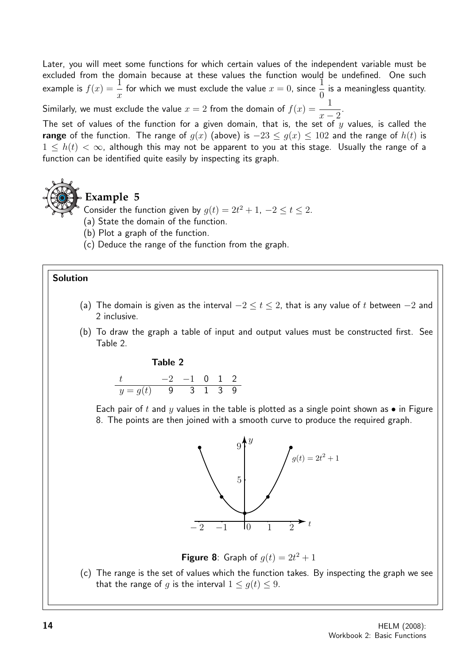Later, you will meet some functions for which certain values of the independent variable must be excluded from the domain because at these values the function would be undefined. One such example is  $f(x) = \frac{1}{x}$  $\overline{x}$ for which we must exclude the value  $x = 0$ , since  $\frac{1}{6}$ 0 is a meaningless quantity. .

Similarly, we must exclude the value  $x=2$  from the domain of  $f(x) = \frac{1}{x}$  $x - 2$ 

The set of values of the function for a given domain, that is, the set of  $y$  values, is called the range of the function. The range of  $q(x)$  (above) is  $-23 < q(x) < 102$  and the range of  $h(t)$  is  $1 \leq h(t) < \infty$ , although this may not be apparent to you at this stage. Usually the range of a function can be identified quite easily by inspecting its graph.



### **Example 5**

Consider the function given by  $g(t) = 2t^2 + 1$ ,  $-2 \le t \le 2$ .

- (a) State the domain of the function.
- (b) Plot a graph of the function.
- (c) Deduce the range of the function from the graph.

#### Solution

- (a) The domain is given as the interval  $-2 \le t \le 2$ , that is any value of t between  $-2$  and 2 inclusive.
- (b) To draw the graph a table of input and output values must be constructed first. See Table 2.

#### Table 2

|                      | $-2$ $-1$ 0 1 2 |  |  |
|----------------------|-----------------|--|--|
| $y = g(t)$ 9 3 1 3 9 |                 |  |  |

Each pair of t and y values in the table is plotted as a single point shown as  $\bullet$  in Figure 8. The points are then joined with a smooth curve to produce the required graph.



**Figure 8**: Graph of  $g(t) = 2t^2 + 1$ 

(c) The range is the set of values which the function takes. By inspecting the graph we see that the range of q is the interval  $1 \le q(t) \le 9$ .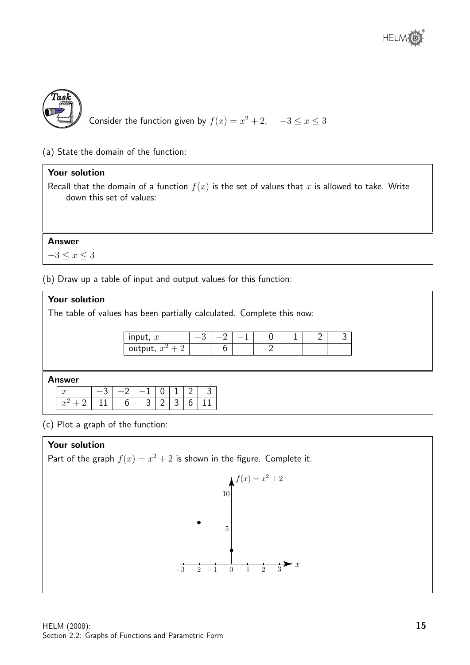

(a) State the domain of the function:

#### Your solution

Recall that the domain of a function  $f(x)$  is the set of values that x is allowed to take. Write down this set of values:

#### Answer

 $-3 \leq x \leq 3$ 

(b) Draw up a table of input and output values for this function:

#### Your solution

The table of values has been partially calculated. Complete this now:

| input, $x$    |  |  |  |  |
|---------------|--|--|--|--|
| output, $x^2$ |  |  |  |  |

#### Answer

|       |                | $-1$   0   1   2   3 |  |            |
|-------|----------------|----------------------|--|------------|
| $-11$ | 6 <sup>1</sup> |                      |  | 3121316111 |

(c) Plot a graph of the function:

#### Your solution

Part of the graph  $f(x) = x^2 + 2$  is shown in the figure. Complete it.

$$
f(x) = x^{2} + 2
$$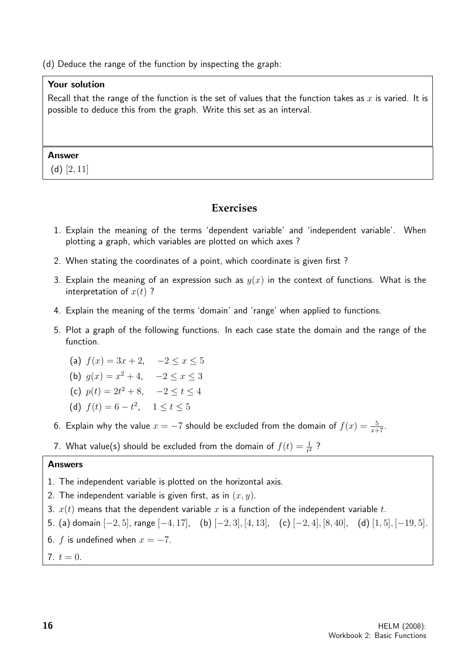(d) Deduce the range of the function by inspecting the graph:

#### Your solution

Recall that the range of the function is the set of values that the function takes as  $x$  is varied. It is possible to deduce this from the graph. Write this set as an interval.

#### Answer

(d)  $[2, 11]$ 

#### **Exercises**

- 1. Explain the meaning of the terms 'dependent variable' and 'independent variable'. When plotting a graph, which variables are plotted on which axes ?
- 2. When stating the coordinates of a point, which coordinate is given first ?
- 3. Explain the meaning of an expression such as  $y(x)$  in the context of functions. What is the interpretation of  $x(t)$  ?
- 4. Explain the meaning of the terms 'domain' and 'range' when applied to functions.
- 5. Plot a graph of the following functions. In each case state the domain and the range of the function.

(a) 
$$
f(x) = 3x + 2
$$
,  $-2 \le x \le 5$ 

(b) 
$$
g(x) = x^2 + 4
$$
,  $-2 \le x \le 3$ 

- (c)  $p(t) = 2t^2 + 8$ ,  $-2 \le t \le 4$
- (d)  $f(t) = 6 t^2$ ,  $1 \le t \le 5$
- 6. Explain why the value  $x = -7$  should be excluded from the domain of  $f(x) = \frac{5}{x+7}$ .
- 7. What value(s) should be excluded from the domain of  $f(t) = \frac{1}{t^2}$  ?

#### Answers

- 1. The independent variable is plotted on the horizontal axis.
- 2. The independent variable is given first, as in  $(x, y)$ .
- 3.  $x(t)$  means that the dependent variable x is a function of the independent variable t.
- 5. (a) domain [−2, 5], range [−4, 17], (b) [−2, 3], [4, 13], (c) [−2, 4], [8, 40], (d) [1, 5], [−19, 5].
- 6. f is undefined when  $x = -7$ .
- 7.  $t = 0$ .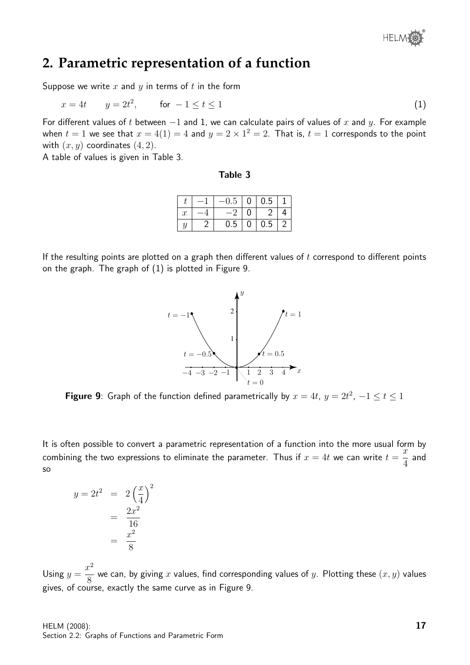### **2. Parametric representation of a function**

Suppose we write  $x$  and  $y$  in terms of  $t$  in the form

$$
x = 4t \qquad y = 2t^2, \qquad \text{for } -1 \le t \le 1 \tag{1}
$$

For different values of t between  $-1$  and 1, we can calculate pairs of values of x and y. For example when  $t=1$  we see that  $x=4(1)=4$  and  $y=2\times 1^2=2$ . That is,  $t=1$  corresponds to the point with  $(x, y)$  coordinates  $(4, 2)$ .

A table of values is given in Table 3.

| able |  |
|------|--|
|------|--|

|                  | $-0.5$ | $+0$ <sup>+</sup> | 0.5              |  |
|------------------|--------|-------------------|------------------|--|
| $\boldsymbol{x}$ | -2     | $\left( \right)$  | $\mathcal{L}$    |  |
|                  | 0.5    | $\mathbf 0$       | $\overline{0.5}$ |  |

If the resulting points are plotted on a graph then different values of  $t$  correspond to different points on the graph. The graph of (1) is plotted in Figure 9.



**Figure 9**: Graph of the function defined parametrically by  $x = 4t$ ,  $y = 2t^2$ ,  $-1 \le t \le 1$ 

It is often possible to convert a parametric representation of a function into the more usual form by combining the two expressions to eliminate the parameter. Thus if  $x = 4t$  we can write  $t =$  $\ddot{x}$ 4 and so

$$
y = 2t2 = 2\left(\frac{x}{4}\right)^{2}
$$

$$
= \frac{2x^{2}}{16}
$$

$$
= \frac{x^{2}}{8}
$$

Using  $y =$  $x^2$ 8 we can, by giving  $x$  values, find corresponding values of  $y$ . Plotting these  $(x,y)$  values gives, of course, exactly the same curve as in Figure 9.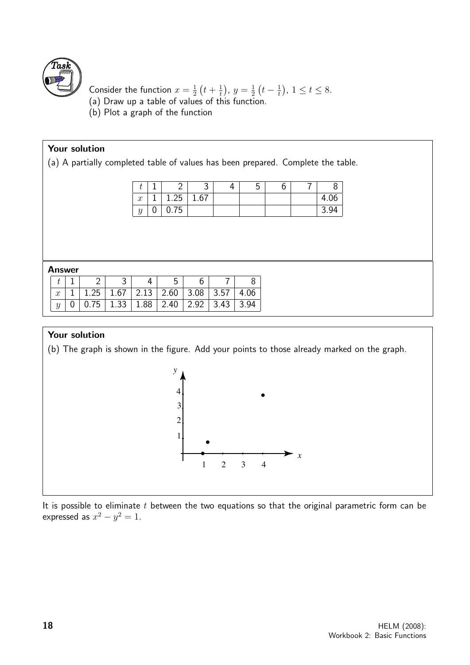

Consider the function  $x=\frac{1}{2}$  $rac{1}{2}(t+\frac{1}{t})$  $(\frac{1}{t}), y = \frac{1}{2}$  $rac{1}{2}(t-\frac{1}{t})$  $(\frac{1}{t})$ ,  $1 \le t \le 8$ .

- (a) Draw up a table of values of this function.
- (b) Plot a graph of the function

#### Your solution

(a) A partially completed table of values has been prepared. Complete the table.

| ◡                       |      | ັ    | ◡ | v | O    |
|-------------------------|------|------|---|---|------|
| $\mathbf{r}$<br>$\cdot$ | 1.25 | 1.67 |   |   | 4.UU |
| $\alpha$<br>◡           | U.75 |      |   |   | 3.94 |

#### Answer

| $\mathcal{X}^-$ | $\mid$ 1 $\mid$ 1.25 $\mid$ 1.67 $\mid$ 2.13 $\mid$ 2.60 $\mid$ 3.08 $\mid$ 3.57 $\mid$ |  |  | 4.06 |
|-----------------|-----------------------------------------------------------------------------------------|--|--|------|
|                 | $0$   0.75   1.33   1.88   2.40   2.92   3.43   3.94                                    |  |  |      |

#### Your solution

(b) The graph is shown in the figure. Add your points to those already marked on the graph.



It is possible to eliminate  $t$  between the two equations so that the original parametric form can be expressed as  $x^2 - y^2 = 1$ .